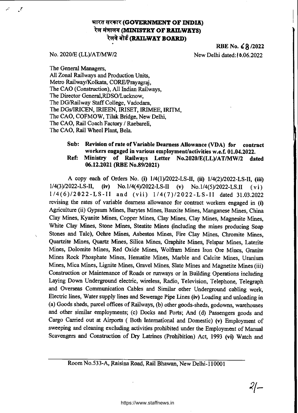# **भारत सरकार (GOVERNMENT OF INDIA) रेल मंत्रालय (MINISTRY OF RAILWAYS) रेलवे बोर्ड (RAILWAY BOARD)**

RBE No. **68** /2022 No. 2020/E (LL)/AT/MW/2 New Delhi dated:10.06.2022

 $2/-$ 

J,

The General Managers, All Zonal Railways and Production Units, Metro Railway/Kolkata, CORE/Prayagraj, The CAO (Construction), All Indian Railways, The Director General,RDSO/Lucknow, The DG/Railway Staff College, Vadodara, The DGs/IRICEN, IRIEEN, IRISET, IRIMEE, IRITM, The CAO, COFMOW, Tilak Bridge, New Delhi, The CAO, Rail Coach Factory / Raebareli, The CAO, Rail Wheel Plant, Bela.

# **Sub: Revision of rate of Variable Dearness Allowance (VDA) for contract workers engaged in various employment/activities w.e.f. 01.04.2022. Ref: Ministry of Railways Letter No.2020/E(LL)/AT/MW/2 dated 06.12.2021 (RBE No.89/2021)**

A copy each of Orders No. (i) 1/4(1)/2022-LS-II, **(ii)** 1/4(2)/2022-LS-II, (iii) 1/4(3)/2022-LS **(iv)** No.1/4(4)/2022-LS-II (v) No.1/4(5)/2022-LS.II ( v i ) 1/4 (6)/2022 -LS-II and (vii) 1 /4(7)/2022 -LS-II dated 31.03.2022 revising the rates of variable dearness allowance for contract workers engaged in (i) Agriculture (ii) Gypsum Mines, Barytes Mines, Bauxite Mines, Manganese Mines, China Clay Mines, Kyanite Mines, Copper Mines, Clay Mines, Clay Mines, Magnesite Mines, White Clay Mines, Stone Mines, Steatite Mines (including the mines producing Soap Stones and Talc), Ochre Mines, Asbestos Mines, Fire Clay Mines, Chromite Mines, Quartzite Mines, Quartz Mines, Silica Mines, Graphite Mines, Felspar Mines, Laterite Mines, Dolomite Mines, Red Oxide Mines, Wolfram Mines Iron Ore Mines, Granite Mines Rock Phosphate Mines, Hematite Mines, Marble and Calcite Mines, Uranium Mines, Mica Mines, Lignite Mines, Gravel Mines, Slate Mines and Magnetite Mines (iii) Construction or Maintenance of Roads or runways or in Building Operations including Laying Down Underground electric, wireless, Radio, Television, Telephone, Telegraph and Overseas Communication Cables and Similar other Underground cabling work, Electric lines, Water supply lines and Sewerage Pipe Lines **(iv)** Loading and unloading in (a) Goods sheds, parcel offices of Railways, (b) other goods-sheds, godowns, warehouses and other similar employments; (c) Docks and Ports; And (d) Passengers goods and Cargo Carried out at Airports ( Both International and Domestic) (v) Employment of sweeping and cleaning excluding activities prohibited under the Employment of Manual Scavengers and Construction of Dry Latrines (Prohibition) Act, 1993 **(vi)** Watch and

Room No.533-A, Raisina Road, Rail Bhawan, New Delhi-110001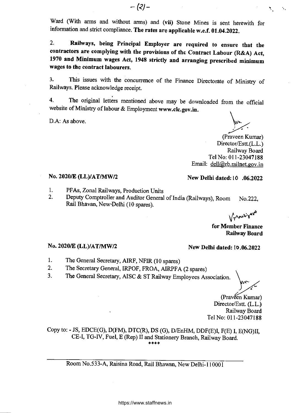Ward (With arms and without arms) and **(vii)** Stone Mines is sent herewith for information and strict compliance. **The rates are applicable w.e.f. 01.04.2022.** 

**2. Railways, being Principal Employer are required to ensure that the contractors are complying with the provisions of the Contract Labour (R&A) Act, 1970 and Minimum wages Act, 1948 strictly and arranging prescribed minimum wages to the contract labourers.** 

3. This issues with the concurrence of the Finance Directorate of Ministry of Railways. Please acknowledge receipt.

4. The original letters mentioned above may be downloaded from the official website of Ministry of labour & Employment **www.cic.gov.in.** 

D.A: As above.

(Praveen Kumar) Director/Estt.(L.L.) Railway Board Tel No: 011-23047188 Email: dell@rb.railnet.gov.in

# **No. 2020/E (LL)/AT/MW/2** New Delhi dated: 10 .06.2022

- 1. PFAs, Zonal Railways, Production Units<br>2. Deputy Comptroller and Auditor General
- Deputy Comptroller and Auditor General of India (Railways), Room No.222, Rail Bhavan, New-Delhi (10 spares).

Vinceisave

**for Member Finance Railway Board** 

# **No. 2020/E (LL)/AT/MW/2 New Delhi dated: 10.06.2022**

- 1. The General Secretary, AIRF, NFIR (10 spares)
- 2. The Secretary General, IRPOF, FROA, AIRPFA (2 spares)
- 3. The General Secretary, AISC & ST Railway Employees Association.

(Praveen Kumar) Director/Estt. (L.L.) Railway Board Tel No: 011-23047188

Copy to: - JS, EDCE(G), D(FM), DTC(R), DS (G), D/EnHM, DDF(E)I, F(E) I, E(NG)II, CE-I, TG-IV, Fuel, E (Rep) II and Stationery Branch, Railway Board. \*\*\*\*

Room No.533-A, Raisina Road, Rail Bhawan, New Delhi-110001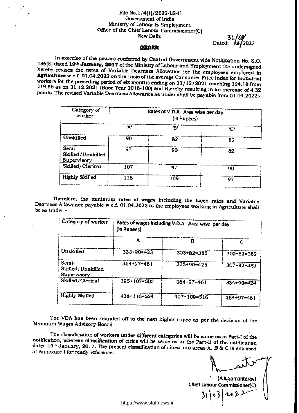#### File No.1/4(1)/2022-LS-II Government of India Ministry of Labour 84 Employment Office of the Chief Labour Commissioner(C) New Delhi

Dated:  $4/2022$  $31/07$ 

#### **ORDER**

In exercise of the powers conferred by Central Government vide Notification No. S.O. I86(E) dated **19a January, 2017** of the Ministry of Labour and Employment the undersigned hereby revises the rates of Variable Dearness Allowance for the employees employed in **Agriculture** w.e.f. 01.04.2022 on the basis of the average Consumer Price Index for Industrial workers for the preceding period of six months ending on 31/12/2021 reaching 124.18 from 119.86 as on 31.12.2021 (Base Year 2016-100) and thereby resulting in an increase of 4.32 points. The revised Variable Dearness Allowance as under shall be payable from 01.04.2022:-

| Category of<br>worker                     |     | Rates of V.D.A. Area wise per day<br>(in Rupees) |    |
|-------------------------------------------|-----|--------------------------------------------------|----|
|                                           | 'A' | ʻR'                                              | E' |
| Unskilled                                 | 90  | 82                                               | 82 |
| Semi-<br>Skilled/Unskilled<br>Supervisory | 97  | 90                                               | 82 |
| Skilled/Clerical                          | 107 | 97                                               | 90 |
| <b>Highly Skilled</b>                     | 116 | 109                                              | 97 |

Therefore, the minimum rates of wages including the basic rates and Variable Dearness Allowance payable w.e.f. 01.04.2022 to the employees working in Agriculture shall be as under:-

| Category of worker                        | (in Rupees)  | Rates of wages including V.D.A. Area wise per day |              |
|-------------------------------------------|--------------|---------------------------------------------------|--------------|
|                                           | Α            | в                                                 | С            |
| Unskilled                                 | $333+90=423$ | $303 + 82 = 385$                                  | $300+82=382$ |
| Semi-<br>Skilled/Unskilled<br>Supervisory | $364+97=461$ | 335+90=425                                        | 307+82=389   |
| Skilled/Clerical                          | 395+107=502  | $364 + 97 = 461$                                  | $334+90=424$ |
| <b>Highly Skilled</b>                     | 438+116=554  | 407+109=516                                       | $364+97=461$ |

The VDA has been rounded off to the next higher rupee as per the decision of the Minimum Wages Advisory Board.

The classification of workers under **different categories will** be same as in Part-1 of the notification, whereas classification of cities will be same as in the Part-11 of the notification dated 19th January, 2017. The present classification of cities into areas A, B & C is enclosed at Annexurc I for ready reference.

(A.K.Samantaray) Chief Labour CommIssIoner(C)  $|1023$ 

https://www.staffnews.in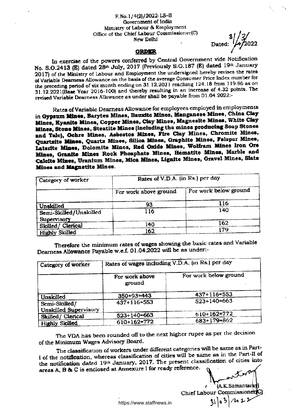#### F.No.1/4(2)/2022-LS-11 Government of India Ministry of Labour & Employment Office of the Chief Labour Commissioner(C) New Delhi

 $Dated:$ <sup>3</sup>

#### **ORDER**

In exercise of the powers conferred by Central Government vide Notification No. S.O.2413 (E) dated 28<sup>th</sup> July, 2017 (Previously S.O.187 (E) dated 19th January 2017) of the Ministry of Labour and Employment the undersigned hereby revises the rates of Variable Dearness Allowance on the basis of the average Consumer Price Index number for the preceding period of six month ending on 31.12.2021 reaching 124.18 from 119 86 as on 31.12.2021(Base Year 2016-100) and thereby resulting in an increase of 4.32 points. The revised Variable Dearness Allowance as under shall be payable from 01.04.2022:-

Rates of Variable Dearness Allowance for employees employed in employments in **Gypsum Mines, Barytes Mines, Bauxite Mines, Manganese Mines, China Clay**  Mines, Kyanite Mines, Copper Mines, Clay Mines, Magnesite Mines, White Clay **Mines, Stone Nines, Steatite Mines (including the mines producing Soap Stones and Talc), Ochre Mines, Asbestos Mines, Fire Clay Mines, Chromite Mines, Quartzite Mines, Quartz Mines, Silica Mines, Graphite Mines, Felspar Mines, Laterite Mines, Dolomite Mines, Red Oxide Mines, Wolfram Mines Iron Ore Mines, Granite Mines Rock Phosphate Mines, Hematite Mines, Marble and Calcite Mines, Uranium Mines, Mica Mines, Lignite Mines, Gravel Mines, Slate Mines and Magnetite Mines.** 

| Category of worker              | Rates of V.D.A. (in Rs.) per day |                       |  |
|---------------------------------|----------------------------------|-----------------------|--|
|                                 | For work above ground            | For work below ground |  |
| Unskilled                       |                                  |                       |  |
| Semi-Skilled/Unskilled          | 116                              | 140                   |  |
| Supervisory<br>Skilled/Clerical | 140                              | 162                   |  |
| <b>Highly Skilled</b>           | 162                              |                       |  |

Therefore the minimum rates of wages showing the basic rates and Variable Dearness Allowance Payable w.e.f, 01.04.2022 will be as under:-

| Category of worker                            | Rates of wages including V.D.A. (in Rs.) per day |                       |  |
|-----------------------------------------------|--------------------------------------------------|-----------------------|--|
|                                               | For work above<br>ground                         | For work below ground |  |
| Unskilled                                     | $350+93=443$                                     | $437+116=553$         |  |
| Semi-Skilled/<br><b>Unskilled Supervisory</b> | 437+116=553                                      | $523+140=663$         |  |
| Skilled/Clerical                              | $523+140=663$                                    | 610+162=772           |  |
| <b>Highly Skilled</b>                         | $610+162=772$                                    | $683+179=862$         |  |

The VDA has been rounded off to the next higher rupee as per the decision of the Minimum Wages Advisory Board.

The classification of workers under different categories will be same as in Part-I of the notification, whereas classification of cities will be same as in the Part-II of the notification dated 19th January, 2017. The present classification of cities into areas A, B & C is enclosed at Annexure I for ready reference.

> $(A.K.$  Samantar  $\mathbf{a}^{\dagger}$ ł Chief Labour Commissio https://www.staffnews.in **51 5**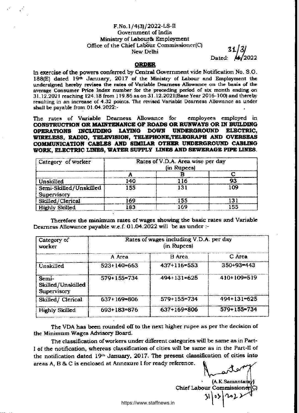# F.No.1/4(3)/2022-LS-11 Government of India Ministry of Labour& Employment Office of the Chief Labour Commissioner(C)  $31/3/$

Dated:

## **ORDER**

In exercise of the powers conferred by Central Government vide Notification No. S.O. 188 $(E)$  dated 19th January, 2017 of the Ministry of Labour and Employment the undersigned hereby revises the rates of Variable Dearness Allowance on the basis of the average Consumer Price Index number for the preceding period of six month ending on 31.12.2021 reaching 124.18 from 119.86 as on 31.12.2021(Base Year 2016-100) and thereby resulting in an increase of 4.32 points. The revised Variable Dearness Allowance as under shall be payable from 01.04.2022:-

The rates of Variable Dearness Allowance for employees employed in **CONSTRUCTION OR MAINTENANCE OF ROADS OR RUNWAYS OR IN BUILDING OPERATIONS INCLUDING LAYING DOWN UNDERGROUND ELECTRIC,**  WIRELESS, RADIO, TELEVISION, TELEPHONE, TELEGRAPH AND OVERSEAS **COMMUNICATION CABLES AND SIMILAR OTHER UNDERGROUND CABLING WORK, ELECTRIC LINES, WATER SUPPLY LINES AND SEWERAGE PIPE LINES.** 

| Category of worker                    | Rates of V.D.A. Area wise per day<br>(in Rupees) |      |     |
|---------------------------------------|--------------------------------------------------|------|-----|
|                                       |                                                  |      |     |
| Unskilled                             | 140                                              | 16   |     |
| Semi-Skilled/Unskilled<br>Supervisory | 155                                              | 131  | 109 |
| Skilled/Clerical                      | 69                                               | 55   |     |
| Highly Skilled                        | I83                                              | ) AO | 55  |

Therefore the minimum rates of wages showing the basic rates and Variable Dearness Allowance payable w.e.f. 01.04.2022 will be as under :-

| Category of<br>worker                     | Rates of wages including V.D.A. per day<br>(in Rupees) |               |                  |  |
|-------------------------------------------|--------------------------------------------------------|---------------|------------------|--|
|                                           | A Area                                                 | <b>B</b> Area | C Area           |  |
| Unskilled                                 | $523+140=663$                                          | 437+116=553   | $350 + 93 = 443$ |  |
| Semi-<br>Skilled/Unskilled<br>Supervisory | $579 + 155 = 734$                                      | $494+131=625$ | $410+109=519$    |  |
| Skilled/ Clerical                         | 637+169=806                                            | $579+155=734$ | $494+131=625$    |  |
| Highly Skilled                            | 693+183=876                                            | 637+169=806   | 579+155=734      |  |

The VDA has been rounded off to the next higher rupee as per the decision of the Minimum Wages Advisory Board,

The classification of workers under different categories will be same as in Part-1 of the notification, whereas classification of cities will be same as in the Part-II of the notification dated  $19<sup>th</sup>$  January, 2017. The present classification of cities into areas A, B & C is enclosed at Annexure I for ready reference.

(A.K.Samanta Chief Labour Commission 31\05\^c2;

https://www.staffnews.in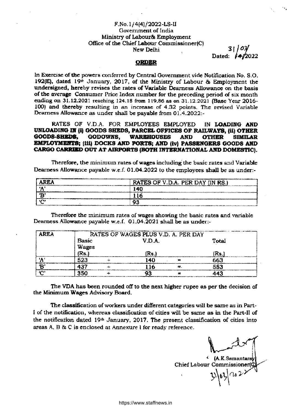## **F.No.1/4(4)/2022-LS-II Government of India Ministry of Labour& Employment Office of the Chief Labour Commissioner(C)**  New Delhi

Dated: **/4/2022** 

## **ORDER**

**In Exercise of the powers conferred by Central Government vide Notification No. S.O.**  192(E), dated 19th January, 2017, of the Ministry of Labour & Employment the **undersigned, hereby revises the rates of Variable Dearness Allowance on the basis of the average Consumer Price Index number for the preceding period of six month ending on 31.12.2021** reaching 124.18 from 119.86 as on 31.12.2021 **(Base Year 2016- 100) and thereby resulting in** an **increase of 4.32 points. The revised Variable Dearness Allowance as under shall be payable from 01.4.2022:-** 

**RATES OF V.D.A. FOR EMPLOYEES EMPLOYED IN LOADING AND UNLOADING IN (i) GOODS SHEDS, PARCEL OFFICES OF RAILWAYS, (ii) OTHER**  GODOWNS, WAREHOUSES AND OTHER SIMILAR **EMPLOYMENTS; (iii) DOCKS AND PORTS; AND (iv) PASSENGERS GOODS AND CARGO CARRIED OUT AT AIRPORTS (BOTH INTERNATIONAL AND DOMESTIC).** 

**Therefore, the minimum rates of wages including` the basic rates and Variable Dearness Allowance payable w.e.f. 01.04.2022 to the employees shall be as under:-** 

| <b>AREA</b> | RATES OF V.D.A. PER DAY (IN RS.)                                                                                                                                                                           |
|-------------|------------------------------------------------------------------------------------------------------------------------------------------------------------------------------------------------------------|
|             | 140                                                                                                                                                                                                        |
|             |                                                                                                                                                                                                            |
|             | o,<br>www.halesting.com/windows/windows/windows/windows/windows/windows/windows/windows/windows/windows/windows/windows/<br><b>PARAMAT INTANASTASASI HOMOKOK PINOK ONOVOLOGIAL TOVOVALISTO KONSULTOVAL</b> |

**Therefore the minimum rates of wages showing the basic rates and variable Dearness Allowance payable w.e.f. 01.04.2021 shall** *be* **as under:-** 

| <b>AREA</b> | RATES OF WAGES PLUS V.D. A. PER DAY |          |       |  |  |  |
|-------------|-------------------------------------|----------|-------|--|--|--|
|             | <b>Basic</b>                        | V.D.A.   | Total |  |  |  |
|             | <b>Wages</b>                        |          |       |  |  |  |
|             | (Rs. $\overline{\phantom{a}}$       | Rs.      | íRs.  |  |  |  |
| f A         | 523                                 | l 40     | 663   |  |  |  |
| æ.          | 437                                 | -16<br>ギ | 553   |  |  |  |
| <b>CONS</b> | 350                                 |          | 442   |  |  |  |

**The VDA has been rounded off to the next higher rupee as per the decision of the Minimum Wages Advisory Board.** 

**The classification of workers under different categories will be same as in Part-1 of the notification, whereas classification of cities will be same as in the Part-II of the notification dated 19th January, 2017. The present classification of cities into areas** A, B & C is enclosed at Annexure I for ready reference.

**<sup>4</sup>(A.K.Saman**  Chief Labour Commissioner(C)<br> **1999**<br> **1999** 

https://www.staffnews.in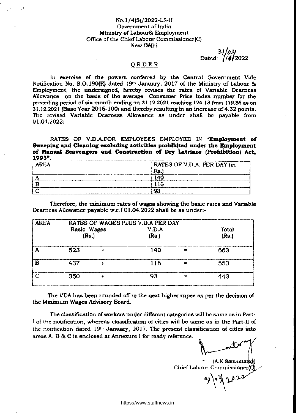## No.1/4(5)/2022-LS-II Government of India Ministry of Labour& Employment Office of the Chief Labour Commissioner(C) New Delhi

Dated: */if* 2022 *i/02/* 

#### ORDER

In exercise of the powers conferred by the Central Government Vide Notification No. S.0.190(E) dated 19th January, 2017 of the Ministry of Labour & Employment, the undersigned, hereby revises the rates of Variable Dearness Allowance on the basis of the average Consumer Price Index number for the preceding period of six month ending on 31.12.2021 reaching 124.18 from 119.86 as on 31.12.2021 (Base Year 2016-100) and thereby resulting in an increase of 4.32 points. The revised Variable Dearness Allowance as under shall be payable from 01,04.2022:-

RATES OF V.D.A.FOR EMPLOYEES EMPLOYED IN **"Employment of Sweeping and Cleaning excluding activities prohibited under the Employment**  of Manual Scavengers and Construction of Dry Latrines (Prohibition) Act, **1993".** 

| <b>AREA</b> | RATES OF V.D.A. PER DAY (in |
|-------------|-----------------------------|
|             | Rs                          |
|             | 14 <sup>c</sup>             |
|             |                             |
|             | 01                          |

Therefore, the minimum rates of wages showing the basic rates and Variable Dearness Allowance payable w.e.f 01.04.2022 shall be as under:-

| <b>AREA</b> |                    | RATES OF WAGES PLUS V.D.A PER DAY |       |            |       |  |
|-------------|--------------------|-----------------------------------|-------|------------|-------|--|
|             | <b>Basic Wages</b> |                                   | V.D.A |            |       |  |
|             | (Rs.)              |                                   | (Rs.) |            | (Rs.) |  |
|             | 523                |                                   | 140   | <b>And</b> | 663   |  |
| в           | 437                |                                   | 116   | $\equiv$   | 553   |  |
|             | 350                |                                   | 93    |            | 443   |  |

The VDA has been rounded off to the next higher rupee as per the decision of the Minimum Wages Advisory Board.

The classification of workers under different categories will be same as in Part-1 of the notification, whereas classification of cities will be same as in the Part-11 of the notification dated 19<sup>th</sup> January, 2017. The present classification of cities into areas A, B & C is enclosed at Annexure 1 for ready reference.

(A.K.Saman Chief Labour Commissioner

 $\lambda$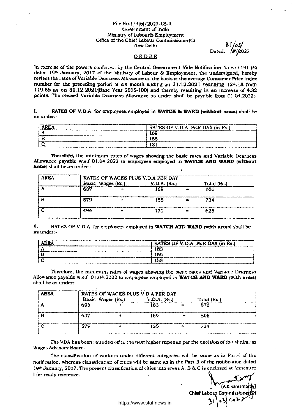#### File No.1/4(6)/2022-LS-II Government of India Ministry of Labour& Employment Office of the Chief Labour Commissioner(C) New Delhi S

Dated:  $\frac{1}{2}$   $/2022$ 

#### ORDER

In exercise of the powers conferred by the Central Government Vide Notification No.5.0.191 (E) dated 19<sup>th</sup> January, 2017 of the Ministry of Labour & Employment, the undersigned, hereby revises the rates of Variable Dearness Allowance on the basis of the average Consumer Price Index number for the preceding period of six month ending on 31.12.2021 reaching 124.18 from 119.86 as on 31.12.2021(Base Year 2016-100) and thereby resulting in an increase of 4.32 points. The revised Variable Dearness Allowance as under shall be payable from 01.04.2022:-

1. RATES OF V.D.A. for employees employed in **WATCH & WARD** (without arms) shall be as under:-

| AREA                                                                                                                    | RATES OF V.D.A. PER DAY (in Rs.)                                                             |
|-------------------------------------------------------------------------------------------------------------------------|----------------------------------------------------------------------------------------------|
|                                                                                                                         | . Hogy ar i <del>ben a szó a szerepet a tartozott a szor</del> előt történtéttettétte<br>169 |
|                                                                                                                         | 155                                                                                          |
| <b>THE REAL REAL ENGINEER OF RESERVE HOMEO OF STATE SEARCH ALL AND A CALL AND A SEARCH AND A SEARCH AND ALL ALL PRO</b> |                                                                                              |

Therefore, the minimum rates of wages showing the basic rates and Variable Dearness Allowance payable w.e.f 01.04.2022 to employees employed in **WATCH AND WARD (without arms)** shall be as under:-

| AREA |                   | RATES OF WAGES PLUS V.D.A PER DAY |                  |  |     |             |
|------|-------------------|-----------------------------------|------------------|--|-----|-------------|
|      | Basic Wages (Rs.) |                                   | $V.D.A.$ $(Rs.)$ |  |     | Total (Rs.) |
|      | 637               |                                   | 169              |  | 806 |             |
|      | 579               |                                   | 155              |  | 734 |             |
|      | 494               |                                   |                  |  | 625 |             |

II. RATES OF V.D.A. for employees employed in **WATCH AND WARD (with arms)** shall be as under:-

| RATES OF V.D.A. PER DAY (in Rs.)<br>value in a construction of the construction of the property of the construction of the construction of the const |
|------------------------------------------------------------------------------------------------------------------------------------------------------|
| ⊾a c                                                                                                                                                 |
| 169<br>and compared and construction of the company and a parameter parameter that is the first company                                              |
|                                                                                                                                                      |

Therefore, the minimum rates of wages showing the basic rates and Variable Dearness Allowance payable w.e.f. 01.04.2022 to employees employed in **WATCH AND WARD (with arms)**  shall be as under:-

| <b>AREA</b> |     |                   | RATES OF WAGES PLUS V.D.A PER DAY |             |  |
|-------------|-----|-------------------|-----------------------------------|-------------|--|
|             |     | Basic Wages (Rs.) | V.D.A. (Rs.)                      | Total (Rs.) |  |
|             | 693 |                   | 183                               | 876         |  |
|             | 637 |                   | 169                               | 806         |  |
|             | 579 |                   | 155                               | 734         |  |

The VDA has been rounded off to the next higher rupee as per the decision of the Minimum Wages Advisory Board.

The classification of workers under different categories will be same as in Part-I of the notification, whereas classification of cities will be same as in the Part-II of the notification dated 19" January, 2017. The present classification of cities into areas A, B & C is enclosed at Annexu re **I** for ready reference.

(A.K.Samantaray) Chief Labour Commi ssio **4**<br>\*  $\mathbf{a}$ }  $\mathcal{U}$ 

https://www.staffnews.in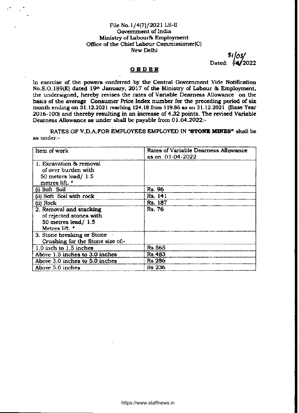## File No.1/4(7)/2021 LS-II Government of India Ministry of Labour& Employment Office of the Chief Labour Commissioner(C) New Delhi

3 Dated: **//4/2022** 1,0

# **ORDER**

ln exercise of the powers conferred by the Central Government Vide Notification No.S.0,189(E) dated 19th January, 2017 of the Ministry of Labour & Employment, the undersigned, hereby revises the rates of Variable Dearness Allowance on the basis of the average Consumer Price Index number for the preceding period of six month ending on 31.12.2021 reaching 124.18 from 119.86 as on 31.12.2021 (Base Year 2016-100) and thereby resulting in an increase of 4.32 points. The revised Variable Dearness Allowance as under shall be payable from 01.04.2022:-

RATES OF V.D.A.FOR EMPLOYEES EMPLOYED IN **"STONE MINES"** shall *be*  as under:-

| Item of work                     | Rates of Variable Dearness Allowance<br>as on 01-04-2022 |
|----------------------------------|----------------------------------------------------------|
| 1. Excavation & removal          |                                                          |
| of over burden with              |                                                          |
| $50$ meters lead/ 1.5            |                                                          |
| metres lift. *                   |                                                          |
| (i) Soft Soil                    | Rs. 96                                                   |
| (ii) Soft Soil with rock         | Rs. 141                                                  |
| (ii) Rock                        | Rs. 187                                                  |
| 2. Removal and stacking          | <b>Rs. 76</b>                                            |
| of rejected stones with          |                                                          |
| 50 metres lead/ $1.5$            |                                                          |
| Metres lift. *                   |                                                          |
| 3. Stone breaking or Stone       |                                                          |
| Crushing for the Stone size of:- |                                                          |
| 1.0 inch to 1.5 inches           | <b>Rs 565</b>                                            |
| Above 1.5 inches to 3.0 inches   | Rs 483                                                   |
| Above 3.0 inches to 5.0 inches   | <b>Rs 286</b>                                            |
| Above 5.0 inches                 | <b>Rs 236</b>                                            |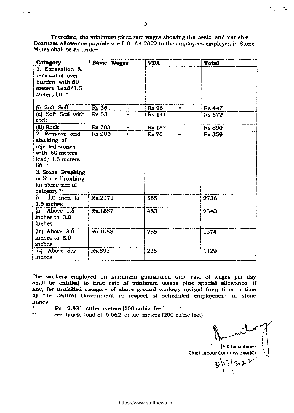Therefore, the minimum piece rate wages showing the basic and Variable Dearness Allowance payable w.e.f. 01.04.2022 to the employees employed in Stone Mines shall be as under:-

| Category                                                                   | Basic Wages                 | <b>VDA</b>                         | <b>Total</b>  |
|----------------------------------------------------------------------------|-----------------------------|------------------------------------|---------------|
| 1. Excavation &<br>removal of over<br>burden with 50<br>meters Lead/1.5    |                             |                                    |               |
| Meters lift. *                                                             |                             |                                    |               |
| (i) Soft Soil                                                              | <b>Rs 351</b><br>$\ddot{+}$ | <b>Rs</b> 96<br>220                | <b>Rs 447</b> |
| (ii) Soft Soil with<br>rock                                                | <b>Rs 531</b><br>÷          | <b>Rs 141</b><br>₩                 | <b>Rs 672</b> |
| (iii) Rock                                                                 | <b>Rs 703</b><br>┿          | <b>Rs</b> 187<br>$=$               | <b>Rs 890</b> |
| 2. Removal and<br>stacking of<br>rejected stones                           | Rs 283<br>$\ddotmark$       | Rs 76<br>$\overline{\phantom{aa}}$ | <b>Rs 359</b> |
| with 50 meters                                                             |                             |                                    |               |
| lead/ $1.5$ meters<br>lift. *                                              |                             |                                    |               |
| 3. Stone Breaking<br>or Stone Crushing<br>for stone size of<br>category ** |                             |                                    |               |
| i) 1.0 inch to<br>1.5 inches                                               | Rs.2171                     | 565                                | 2736          |
| $(ii)$ Above $1.5$<br>inches to 3.0<br>inches                              | Rs.1857                     | 483                                | 2340          |
| (iii) Above 3.0<br>inches to 5.0<br>inches                                 | Rs.1088                     | 286                                | 1374          |
| $(iv)$ Above $5.0$<br>inches                                               | Rs.893                      | 236                                | 1129          |

The workers employed on minimum guaranteed time rate of wages per day shall be entitled to time rate of minimum wages plus special allowance, if any, for unskilled category of above ground workers revised from time to time by the Central Government in respect of scheduled employment in stone mines.

Per 2.831 cube meters (100 cubic feet)

\*\* Per truck load of 5.662 cubic meters (200 cubic feet)

**(A.K.Samantaray)** 

 $12$ 

Chief Labour Commissioner(C)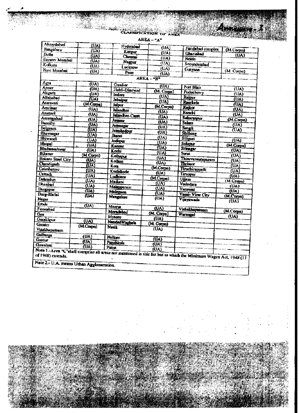| <b>CLARATICATION OF AND</b> |  |
|-----------------------------|--|
|                             |  |
|                             |  |

S.C.

| Ahnedalad                | (UA)                       | Hyderabad              |                          |                                                                                                                 |                          |
|--------------------------|----------------------------|------------------------|--------------------------|-----------------------------------------------------------------------------------------------------------------|--------------------------|
| Rangaluru                | (UA)                       | Kanpur                 | (UA)                     | Faridabad complex                                                                                               | (M.Corpn)                |
| <b>Delhi</b>             | (M <sub>A</sub> )          | Chennai                | (UA)                     | <b>Chaziolad</b>                                                                                                | (UA)                     |
| <b>Circater Mumbai</b>   | (UA)                       | Nagpur                 | $(\overline{UA})$        | <b>Notda</b>                                                                                                    |                          |
| Kolkais                  | $(\overline{U}\Lambda)$    | Luclenow               | (1)                      | Secunderabad                                                                                                    |                          |
| Navi Mumbai              | (UA)                       |                        | (UA)                     | Gurgaon                                                                                                         | (M. Corpn)               |
|                          |                            | Pune <sup></sup>       | いへ                       |                                                                                                                 |                          |
|                          |                            |                        | AREA-"H"                 |                                                                                                                 |                          |
| Agra                     | (UA)                       | Gwalior                | (UA)                     | Port Blair                                                                                                      |                          |
| Aimer                    | (UA)                       | Hubli-Dimrwad          | (M. Corpn)               | <b>Puducheny</b>                                                                                                | (UA)                     |
| Aligarh                  | $\overline{(\mathsf{UA})}$ | Indore                 | <b>(UA)</b>              |                                                                                                                 | (UA)                     |
| Allalmbad                | (UA)                       | Jabaipur               | <b>(UA)</b>              | Raipur                                                                                                          | (UA)                     |
| Amravsti                 | (M.Corpa)                  | Jaipur                 | (M.Corpa)                | <b>Raurkeja</b>                                                                                                 | (UA)                     |
| Amritsar                 | $\overline{N}$             | lulandhar              | (UA)                     | Rajkot                                                                                                          | (UA)                     |
| Asansol                  | <b>(UA)</b>                | Jalandhar-Canti.       | (UA)                     | <b>Ranchi</b>                                                                                                   | (UA)                     |
| Aurangabad               | (UA)                       | Jamanu                 |                          | Saharanpur                                                                                                      | (M.Corpn)                |
| <b>Barcilly</b>          | (UA)                       | Jammagar               | (UA)                     | <b>Sulan</b>                                                                                                    | (ሁለ)                     |
| <b>Belgaum</b>           | (UA)                       | Janshedpur             | (UA)                     | Sangh                                                                                                           | (UA)                     |
| <b>Ahavnagar</b>         | (UA)                       | <b><i>Ilearnoi</i></b> | $(\overline{UA})$        | Shillong                                                                                                        |                          |
| <b>Bhiwandi</b>          | (UA)                       | <b>Jodhpur</b>         | $(U_A)$                  | Siligani                                                                                                        | $(\overline{U}$          |
| <b>Hannal</b>            | (UA)                       | Kanour                 | (UA)                     | Solapur                                                                                                         | (M.Corpn)                |
| <b>Blubaneshwar</b>      | (UA)                       | Kochi                  | (UA)                     | Srinngar                                                                                                        | $\overline{(UA)}$        |
| <b>Bikaner</b>           | (M.Corpn)                  |                        | (UA)                     | Sural                                                                                                           | (UA)                     |
| <b>Bokaro Steel City</b> | (UA)                       | Kelhapur<br>Kollam     | $\overline{(UA)}$        | Thiruvarantapuram                                                                                               | $\overline{\text{(UA)}}$ |
| <b>Chandigarh</b>        | <b>TUAT</b>                | Kota                   | $\overline{\text{(UA)}}$ | Thrisser                                                                                                        | (UA)                     |
| Coimhatore               | $\overline{\text{U}}$ A)   | Kozbikode              | (M.Corpn)                | <b>Tirochirappalli</b>                                                                                          | (UA)                     |
| <b>Cuttack</b>           | $\overline{(\mathsf{UA})}$ |                        | (UA)                     | Tiruppur                                                                                                        | (UA)                     |
| <b>Delaydur</b>          | $\overline{(\mathsf{UA})}$ | Ludhiana               | (M.Corps)                | <b><i><u>Ujjam</u></i></b>                                                                                      | (M.Corpn)                |
| Dinnbad                  | (UA)                       | Madurai                | $(\overline{(\Lambda)}$  | Vadodara                                                                                                        | (U <sub>A</sub> )        |
| Durgapur                 | $\overline{\text{U}}$ A)   | Malappuram             | (UA)                     | Varanaul                                                                                                        |                          |
| Durg-Dhilai              | <b>(UA)</b>                | Malegaon               | <b>TUAT</b>              | Vasui- Viru City                                                                                                | $\overline{\text{U}}$    |
| Nagar                    |                            | <b>Mangalore</b>       | (UA)                     | Vijayuwada                                                                                                      | (M.Corpn)<br>(UA)        |
| Emrle                    | $\overline{\text{U}}$ A)   | Meeru                  |                          |                                                                                                                 |                          |
| Firozabad                |                            | Morachbad              | (UA)                     | Vishakhapatnam                                                                                                  | (M.Corpn)                |
| Gm                       |                            | Музопе                 | (M. Corpu)               | Warangal                                                                                                        | (UA)                     |
| Gorakhour                | (UA)                       | Nanded Waghala         | $(\mathbf{u})$           |                                                                                                                 |                          |
| <b>Oreater</b>           | (M. Com)                   | <b>Nasik</b>           | (M. Corpn)               |                                                                                                                 |                          |
| Visakhapatnam            |                            |                        | <b>IUA)</b>              |                                                                                                                 |                          |
| Gulbarga                 | (UA)                       | <b>Nellore</b>         |                          |                                                                                                                 |                          |
| Guntur                   | $(\overline{U_A})$         | Panchkula              | (UA)                     |                                                                                                                 |                          |
| <b>Chrwalmei</b>         | (UA)                       | Paum                   | (UA)                     |                                                                                                                 |                          |
|                          |                            |                        |                          | Note 1-Ares 'C'shall comprise all areas not mentioned in this list but to which the Minimum Wages Act, 1948 (11 |                          |
|                          |                            |                        |                          |                                                                                                                 |                          |

https://www.staffnews.in

АREA — "А"

<u> Abban I</u>